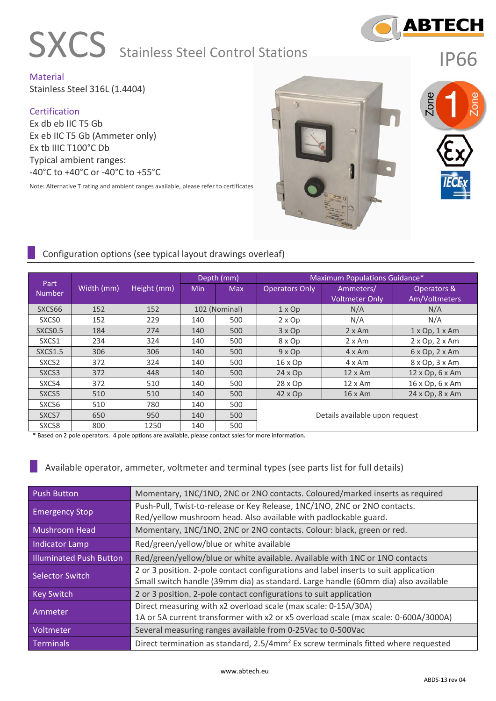

# **SXCS** Stainless Steel Control Stations

IP66

Material Stainless Steel 316L (1.4404)

#### **Certification**

Ex db eb IIC T5 Gb Ex eb IIC T5 Gb (Ammeter only) Ex tb IIIC T100°C Db Typical ambient ranges: -40°C to +40°C or -40°C to +55°C

Note: Alternative T rating and ambient ranges available, please refer to certificates



#### Configuration options (see typical layout drawings overleaf) Part Number Width (mm) Height (mm) Depth (mm) Maximum Populations Guidance\* Min Max Operators Only Ammeters/ Voltmeter Only Operators & Am/Voltmeters SXCS66 152 152 102 (Nominal) 1 x Op N/A N/A SXCS0 | 152 | 229 | 140 | 500 | 2 $\times$  Op | N/A | N/A SXCS0.5 184 274 140 500 3x Op 2x Am 1 x Op, 1 x Am SXCS1 234 324 140 500 8xOp 2xAm 2xOp, 2xAm SXCS1.5 306 306 306 140 500 9x Op 4 x Am 6 x Op, 2 x Am SXCS2 372 324 140 500 16 x Op 4 x Am 8 x Op, 3 x Am SXCS3 372 448 140 500 24 x Op 12 x Am 12 x Op, 6 x Am SXCS4 372 | 510 | 140 | 500 | 28 x Op | 12 x Am | 16 x Op, 6 x Am SXCS5 | 510 | 510 | 140 | 500 | 42 x Op | 16 x Am | 24 x Op, 8 x Am SXCS6 | 510 | 780 | 140 | 500 SXCS7 650 950 140 500 Details available upon request SXCS8 800 1250 140 500

\* Based on 2 pole operators. 4 pole options are available, please contact sales for more information.

Available operator, ammeter, voltmeter and terminal types (see parts list for full details)

| <b>Push Button</b>             | Momentary, 1NC/1NO, 2NC or 2NO contacts. Coloured/marked inserts as required                                                                                               |
|--------------------------------|----------------------------------------------------------------------------------------------------------------------------------------------------------------------------|
| <b>Emergency Stop</b>          | Push-Pull, Twist-to-release or Key Release, 1NC/1NO, 2NC or 2NO contacts.<br>Red/yellow mushroom head. Also available with padlockable guard.                              |
| Mushroom Head                  | Momentary, 1NC/1NO, 2NC or 2NO contacts. Colour: black, green or red.                                                                                                      |
| <b>Indicator Lamp</b>          | Red/green/yellow/blue or white available                                                                                                                                   |
| <b>Illuminated Push Button</b> | Red/green/yellow/blue or white available. Available with 1NC or 1NO contacts                                                                                               |
| <b>Selector Switch</b>         | 2 or 3 position. 2-pole contact configurations and label inserts to suit application<br>Small switch handle (39mm dia) as standard. Large handle (60mm dia) also available |
| <b>Key Switch</b>              | 2 or 3 position. 2-pole contact configurations to suit application                                                                                                         |
| Ammeter                        | Direct measuring with x2 overload scale (max scale: 0-15A/30A)<br>1A or 5A current transformer with x2 or x5 overload scale (max scale: 0-600A/3000A)                      |
| Voltmeter                      | Several measuring ranges available from 0-25Vac to 0-500Vac                                                                                                                |
| <b>Terminals</b>               | Direct termination as standard, 2.5/4mm <sup>2</sup> Ex screw terminals fitted where requested                                                                             |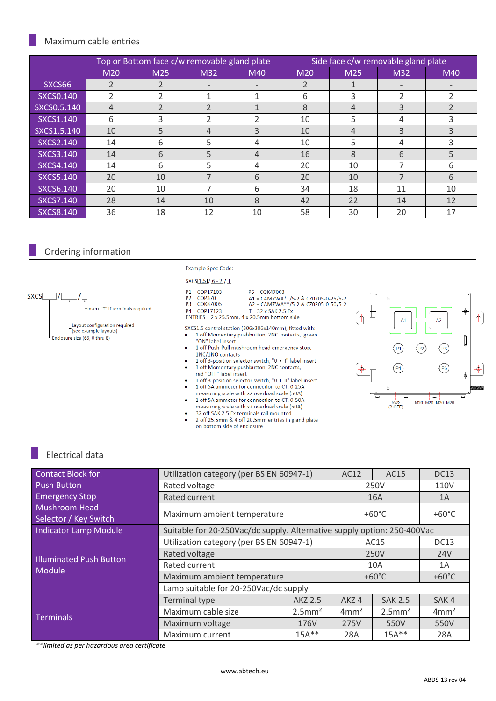#### Maximum cable entries

|                  | Top or Bottom face c/w removable gland plate |                |                          | Side face c/w removable gland plate |     |                 |                          |                          |
|------------------|----------------------------------------------|----------------|--------------------------|-------------------------------------|-----|-----------------|--------------------------|--------------------------|
|                  | M20                                          | M25            | M32                      | M40                                 | M20 | M <sub>25</sub> | M32                      | M40                      |
| SXCS66           | $\overline{2}$                               | $\mathfrak{p}$ |                          |                                     | 2   |                 |                          |                          |
| <b>SXCS0.140</b> |                                              |                |                          |                                     | 6   | 3               | $\overline{2}$           | $\mathfrak z$            |
| SXCS0.5.140      | $\overline{4}$                               | $\mathcal{P}$  | $\overline{\phantom{a}}$ |                                     | 8   | 4               | 3                        | $\overline{\phantom{0}}$ |
| SXCS1.140        | 6                                            | 3              | $\overline{2}$           | 2                                   | 10  | 5               | 4                        | 3                        |
| SXCS1.5.140      | 10                                           | 5              | 4                        | 3                                   | 10  | 4               | 3                        | 3                        |
| <b>SXCS2.140</b> | 14                                           | 6              | 5                        | 4                                   | 10  | 5               | 4                        | 3                        |
| <b>SXCS3.140</b> | 14                                           | 6              | 5                        | 4                                   | 16  | 8               | 6                        | 5                        |
| SXCS4.140        | 14                                           | 6              | 5                        | 4                                   | 20  | 10              | ⇁                        | 6                        |
| <b>SXCS5.140</b> | 20                                           | 10             | ᄀ                        | 6                                   | 20  | 10              | $\overline{\phantom{a}}$ | 6                        |
| <b>SXCS6.140</b> | 20                                           | 10             |                          | 6                                   | 34  | 18              | 11                       | 10                       |
| <b>SXCS7.140</b> | 28                                           | 14             | 10                       | 8                                   | 42  | 22              | 14                       | 12                       |
| <b>SXCS8.140</b> | 36                                           | 18             | 12                       | 10                                  | 58  | 30              | 20                       | 17                       |

### Ordering information



#### Example Spec Code:

#### $SKCS[1.5]/[6 - 2]/[1]$

| $P1 = COP17103$ |  |
|-----------------|--|
| $P2 = COP370$   |  |
| $P3 = COK87005$ |  |
| $DA = COD17122$ |  |

```
A1 = CAM7WA**/5-2 & CZ0205-0-25/5-2<br>A2 = CAM7WA**/5-2 & CZ0205-0-50/5-2
```

```
T = 32 \times SAK 2.5 Ex
ENTRIES = 2 \times 25.5 \text{mm}, 4 \times 20.5 \text{mm} bottom side
```
 $P6 = COK47003$ 

SXCS1.5 control station (306x306x140mm), fitted with:<br>• 1 off Momentary pushbutton, 2NC contacts, green

- "ON" label insert
- 1 off Push-Pull mushroom head emergency stop, 1NC/1NO contacts
- 1 off 3-position selector switch, "0 I" label insert<br>1 off 3-position selector switch, "0 I" label insert<br>1 of Momentary pushbutton, 2NC contacts,  $\bullet$ red "OFF" label insert
- 1 off 3-position selector switch, "0 1 II" label insert 1 off 5A ammeter for connection to CT, 0-25A
- measuring scale with x2 overload scale (50A)<br>1 off 5A ammeter for connection to CT, 0-50A
- measuring scale with x2 overload scale (50A)
- 32 off SAK 2.5 Ex terminals rail mounted 2 off 25.5mm & 4 off 20.5mm entries in gland plate on bottom side of enclosure



### Electrical data

| <b>Contact Block for:</b>                     | Utilization category (per BS EN 60947-1)                                |                       | AC12             | AC15                  | <b>DC13</b>      |  |
|-----------------------------------------------|-------------------------------------------------------------------------|-----------------------|------------------|-----------------------|------------------|--|
| <b>Push Button</b>                            | Rated voltage                                                           |                       | 250V             |                       | 110V             |  |
| <b>Emergency Stop</b>                         | Rated current                                                           |                       | 16A              |                       | 1A               |  |
| <b>Mushroom Head</b><br>Selector / Key Switch | Maximum ambient temperature                                             | $+60^{\circ}$ C       |                  | $+60^{\circ}$ C       |                  |  |
| <b>Indicator Lamp Module</b>                  | Suitable for 20-250Vac/dc supply. Alternative supply option: 250-400Vac |                       |                  |                       |                  |  |
|                                               | Utilization category (per BS EN 60947-1)                                | AC15                  |                  | <b>DC13</b>           |                  |  |
| <b>Illuminated Push Button</b>                | Rated voltage                                                           | 250V                  |                  | <b>24V</b>            |                  |  |
| Module                                        | Rated current                                                           | 10A                   |                  | 1A                    |                  |  |
|                                               | Maximum ambient temperature                                             | $+60^{\circ}$ C       |                  | $+60^{\circ}$ C       |                  |  |
|                                               | Lamp suitable for 20-250Vac/dc supply                                   |                       |                  |                       |                  |  |
|                                               | <b>Terminal type</b>                                                    | AKZ 2.5               | AKZ4             | <b>SAK 2.5</b>        | SAK4             |  |
| <b>Terminals</b>                              | Maximum cable size                                                      | $2.5$ mm <sup>2</sup> | 4mm <sup>2</sup> | $2.5$ mm <sup>2</sup> | 4mm <sup>2</sup> |  |
|                                               | Maximum voltage                                                         | 176V                  | 275V             | 550V                  | 550V             |  |
|                                               | Maximum current                                                         | 28A                   | $15A***$         | 28A                   |                  |  |

*\*\*limited as per hazardous area certificate*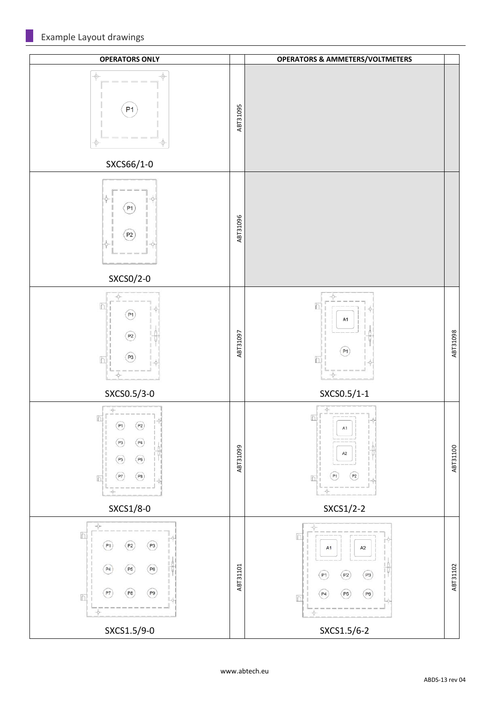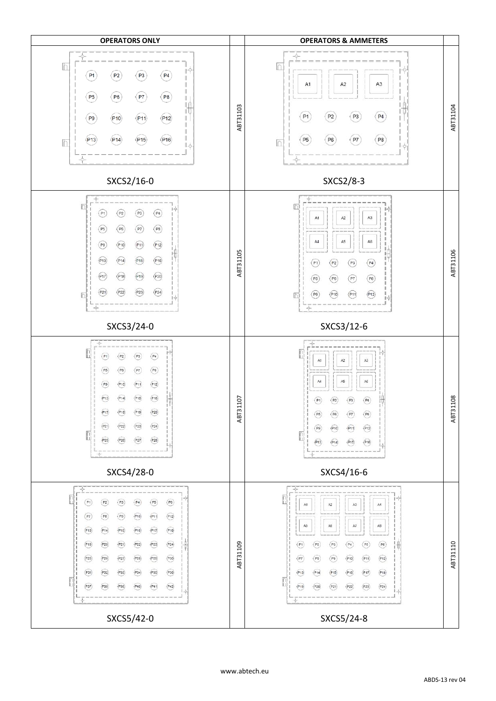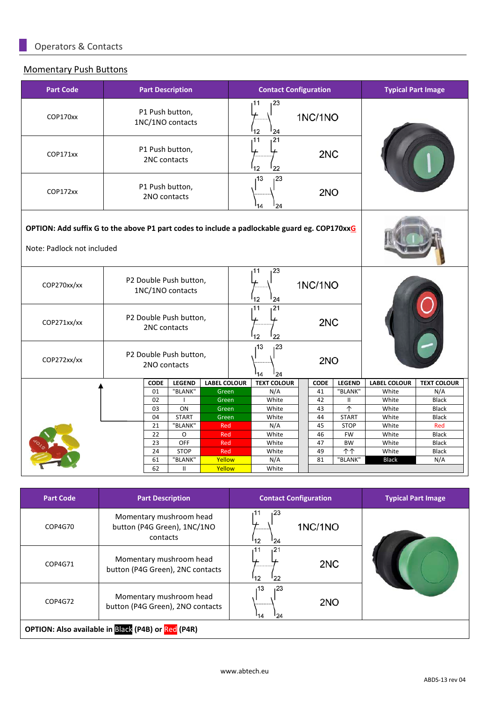# Momentary Push Buttons

| <b>Part Code</b> | <b>Part Description</b>                                                                                                    |                                                                |                     | <b>Contact Configuration</b>      |             |                                  | <b>Typical Part Image</b> |                              |
|------------------|----------------------------------------------------------------------------------------------------------------------------|----------------------------------------------------------------|---------------------|-----------------------------------|-------------|----------------------------------|---------------------------|------------------------------|
| COP170xx         | P1 Push button,<br>1NC/1NO contacts                                                                                        |                                                                |                     | 23<br>11<br>12<br>24              | 1NC/1NO     |                                  |                           |                              |
| COP171xx         |                                                                                                                            | 21<br>11<br>P1 Push button,<br>2NC<br>2NC contacts<br>12<br>22 |                     |                                   |             |                                  |                           |                              |
| COP172xx         |                                                                                                                            | P1 Push button,<br>2NO contacts                                |                     |                                   | 2NO         |                                  |                           |                              |
|                  | OPTION: Add suffix G to the above P1 part codes to include a padlockable guard eg. COP170xxG<br>Note: Padlock not included |                                                                |                     |                                   |             |                                  |                           |                              |
| COP270xx/xx      | 23<br>11<br>P2 Double Push button,<br>1NC/1NO contacts<br>12<br>24                                                         |                                                                |                     | 1NC/1NO                           |             |                                  |                           |                              |
| COP271xx/xx      | P2 Double Push button,<br>2NC contacts                                                                                     |                                                                |                     | $\overline{21}$<br>11<br>12<br>22 | 2NC         |                                  |                           |                              |
| COP272xx/xx      |                                                                                                                            | P2 Double Push button,<br>2NO contacts                         |                     | 13<br>23<br>14<br>24              | 2NO         |                                  |                           |                              |
|                  | <b>CODE</b>                                                                                                                | <b>LEGEND</b>                                                  | <b>LABEL COLOUR</b> | <b>TEXT COLOUR</b>                | <b>CODE</b> | <b>LEGEND</b>                    | <b>LABEL COLOUR</b>       | <b>TEXT COLOUR</b>           |
|                  | 01                                                                                                                         | "BLANK"                                                        | Green               | N/A                               | 41          | "BLANK"                          | White                     | N/A                          |
|                  | 02                                                                                                                         |                                                                | Green               | White                             | 42          | $\mathsf{II}$                    | White                     | <b>Black</b>                 |
|                  | 03                                                                                                                         | ON                                                             | Green               | White                             | 43          | $\uparrow$                       | White                     | Black                        |
|                  | 04                                                                                                                         | <b>START</b>                                                   | Green               | White                             | 44          | <b>START</b>                     | White                     | <b>Black</b>                 |
|                  | 21                                                                                                                         | "BLANK"                                                        | Red                 | N/A                               | 45          | <b>STOP</b>                      | White                     | Red                          |
|                  | 22                                                                                                                         | O<br>OFF                                                       | Red                 | White                             | 46          | <b>FW</b>                        | White                     | <b>Black</b>                 |
|                  | 23<br>24                                                                                                                   | <b>STOP</b>                                                    | Red<br>Red          | White<br>White                    | 47<br>49    | <b>BW</b><br>$\uparrow \uparrow$ | White<br>White            | <b>Black</b><br><b>Black</b> |
|                  | 61                                                                                                                         | "BLANK"                                                        | Yellow              | N/A                               | 81          | "BLANK"                          | <b>Black</b>              | N/A                          |
|                  | 62                                                                                                                         | $\mathbf{II}$                                                  | Yellow              | White                             |             |                                  |                           |                              |
|                  |                                                                                                                            |                                                                |                     |                                   |             |                                  |                           |                              |

| <b>Part Code</b> | <b>Part Description</b>                                            | <b>Contact Configuration</b>           | <b>Typical Part Image</b> |
|------------------|--------------------------------------------------------------------|----------------------------------------|---------------------------|
| COP4G70          | Momentary mushroom head<br>button (P4G Green), 1NC/1NO<br>contacts | 123<br>11<br>1NC/1NO<br><br>'12<br>124 |                           |
| COP4G71          | Momentary mushroom head<br>button (P4G Green), 2NC contacts        | 11<br>,21<br>2NC<br><br>122<br>'12     |                           |
| COP4G72          | Momentary mushroom head<br>button (P4G Green), 2NO contacts        | 123<br>13<br>2NO<br><br>124<br>'14     |                           |
|                  | OPTION: Also available in Black (P4B) or Red (P4R)                 |                                        |                           |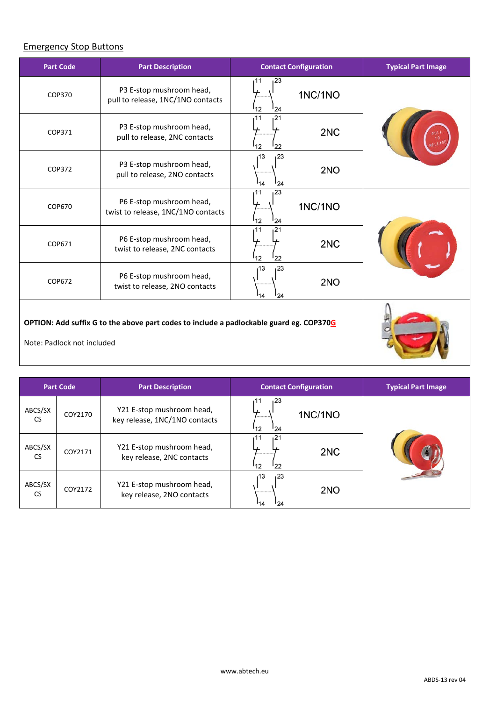# Emergency Stop Buttons

| <b>Part Code</b>                                                                                                      | <b>Part Description</b>                                        | <b>Contact Configuration</b>       |         | <b>Typical Part Image</b> |
|-----------------------------------------------------------------------------------------------------------------------|----------------------------------------------------------------|------------------------------------|---------|---------------------------|
| COP370                                                                                                                | P3 E-stop mushroom head,<br>pull to release, 1NC/1NO contacts  | 123<br>11<br>12<br>24              | 1NC/1NO |                           |
| COP371                                                                                                                | P3 E-stop mushroom head,<br>pull to release, 2NC contacts      | 121<br>11<br>12<br>22              | 2NC     |                           |
| COP372                                                                                                                | P3 E-stop mushroom head,<br>pull to release, 2NO contacts      | 23<br>13،<br>14<br>24              | 2NO     |                           |
| <b>COP670</b>                                                                                                         | P6 E-stop mushroom head,<br>twist to release, 1NC/1NO contacts | 123<br>11<br><sup>1</sup> 2<br>'24 | 1NC/1NO |                           |
| COP671                                                                                                                | P6 E-stop mushroom head,<br>twist to release, 2NC contacts     | 11<br>121<br>12<br>22              | 2NC     |                           |
| COP672                                                                                                                | P6 E-stop mushroom head,<br>twist to release, 2NO contacts     | 13،<br>23<br>14<br>124             | 2NO     |                           |
| OPTION: Add suffix G to the above part codes to include a padlockable guard eg. COP370G<br>Note: Padlock not included |                                                                |                                    |         |                           |

| <b>Part Code</b>     |         | <b>Part Description</b>                                    | <b>Contact Configuration</b>                    | <b>Typical Part Image</b> |
|----------------------|---------|------------------------------------------------------------|-------------------------------------------------|---------------------------|
| ABCS/SX<br><b>CS</b> | COY2170 | Y21 E-stop mushroom head,<br>key release, 1NC/1NO contacts | 23،<br>1NC/1NO<br><br>112<br>124                |                           |
| ABCS/SX<br><b>CS</b> | COY2171 | Y21 E-stop mushroom head,<br>key release, 2NC contacts     | ,21<br>11،<br>2 <sub>NC</sub><br><br>112<br>122 |                           |
| ABCS/SX<br><b>CS</b> | COY2172 | Y21 E-stop mushroom head,<br>key release, 2NO contacts     | 123<br>13،<br>2NO<br><br>14<br>124              |                           |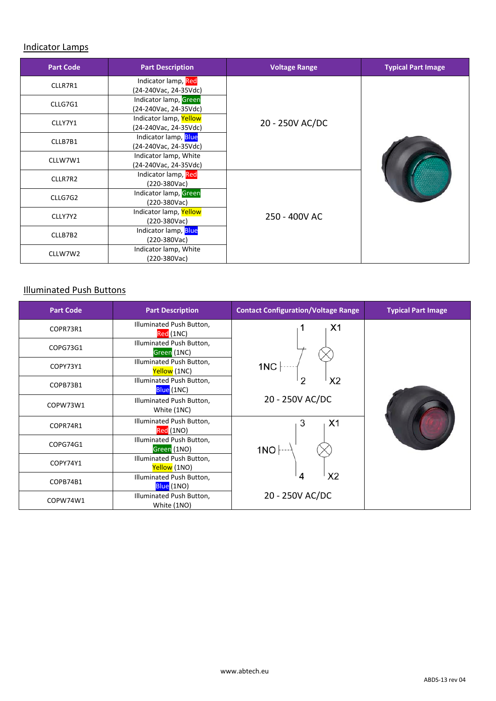#### Indicator Lamps

| <b>Part Code</b> | <b>Part Description</b>                         | <b>Voltage Range</b> | <b>Typical Part Image</b> |  |
|------------------|-------------------------------------------------|----------------------|---------------------------|--|
| CLLR7R1          | Indicator lamp, Red<br>(24-240Vac, 24-35Vdc)    |                      |                           |  |
| CLLG7G1          | Indicator lamp, Green<br>(24-240Vac, 24-35Vdc)  |                      |                           |  |
| CLLY7Y1          | Indicator lamp, Yellow<br>(24-240Vac, 24-35Vdc) | 20 - 250V AC/DC      |                           |  |
| CLLB7B1          | Indicator lamp, Blue<br>(24-240Vac, 24-35Vdc)   |                      |                           |  |
| CLLW7W1          | Indicator lamp, White<br>(24-240Vac, 24-35Vdc)  |                      |                           |  |
| CLLR7R2          | Indicator lamp, Red<br>(220-380Vac)             |                      |                           |  |
| CLLG7G2          | Indicator lamp, Green<br>(220-380Vac)           |                      |                           |  |
| CLLY7Y2          | Indicator lamp, Yellow<br>$(220-380\sqrt{ac})$  | 250 - 400V AC        |                           |  |
| CLLB7B2          | Indicator lamp, Blue<br>(220-380Vac)            |                      |                           |  |
| CLLW7W2          | Indicator lamp, White<br>(220-380Vac)           |                      |                           |  |

# Illuminated Push Buttons

| <b>Part Code</b> | <b>Part Description</b>                  | <b>Contact Configuration/Voltage Range</b> | <b>Typical Part Image</b> |
|------------------|------------------------------------------|--------------------------------------------|---------------------------|
| COPR73R1         | Illuminated Push Button,<br>Red (1NC)    | X <sub>1</sub>                             |                           |
| COPG73G1         | Illuminated Push Button,<br>Green (1NC)  |                                            |                           |
| COPY73Y1         | Illuminated Push Button,<br>Yellow (1NC) | 1NC                                        |                           |
| COPB73B1         | Illuminated Push Button,<br>Blue (1NC)   | X <sub>2</sub><br>2                        |                           |
| COPW73W1         | Illuminated Push Button,<br>White (1NC)  | 20 - 250V AC/DC                            |                           |
| COPR74R1         | Illuminated Push Button,<br>Red (1NO)    | 3<br>X1                                    |                           |
| COPG74G1         | Illuminated Push Button,<br>Green (1NO)  | 1NO                                        |                           |
| COPY74Y1         | Illuminated Push Button,<br>Yellow (1NO) |                                            |                           |
| COPB74B1         | Illuminated Push Button,<br>Blue (1NO)   | X <sub>2</sub><br>4                        |                           |
| COPW74W1         | Illuminated Push Button,<br>White (1NO)  | 20 - 250V AC/DC                            |                           |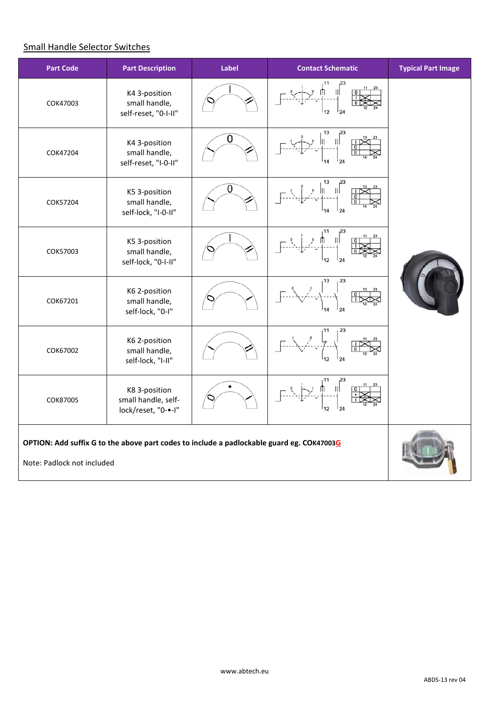# Small Handle Selector Switches

| <b>Part Code</b>           | <b>Part Description</b>                                                                   | Label | <b>Contact Schematic</b> | <b>Typical Part Image</b> |
|----------------------------|-------------------------------------------------------------------------------------------|-------|--------------------------|---------------------------|
| COK47003                   | K4 3-position<br>small handle,<br>self-reset, "0-I-II"                                    |       |                          |                           |
| COK47204                   | K4 3-position<br>small handle,<br>self-reset, "I-0-II"                                    | 0     | 24                       |                           |
| COK57204                   | K5 3-position<br>small handle,<br>self-lock, "I-0-II"                                     | 0     | 24                       |                           |
| COK57003                   | K5 3-position<br>small handle,<br>self-lock, "0-I-II"                                     |       | 24                       |                           |
| COK67201                   | K6 2-position<br>small handle,<br>self-lock, "0-I"                                        |       | 23<br>13                 |                           |
| COK67002                   | K6 2-position<br>small handle,<br>self-lock, "I-II"                                       |       | 23                       |                           |
| COK87005                   | K8 3-position<br>small handle, self-<br>lock/reset, "0-•-I"                               |       | 12<br>124                |                           |
| Note: Padlock not included | OPTION: Add suffix G to the above part codes to include a padlockable guard eg. COK47003G |       |                          |                           |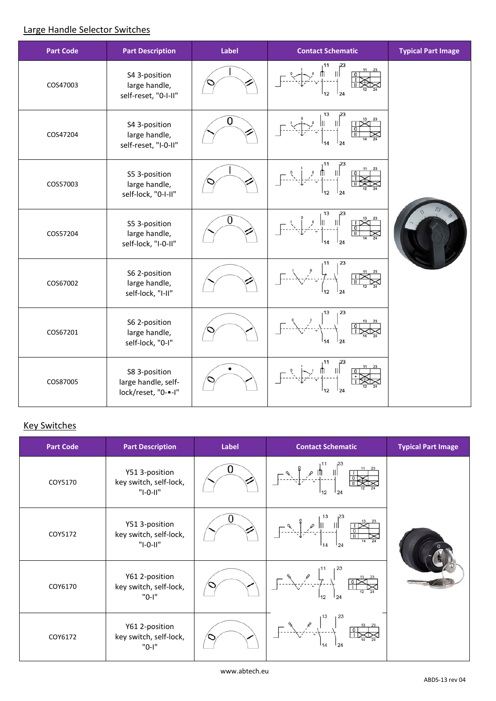# Large Handle Selector Switches

| <b>Part Code</b> | <b>Part Description</b>                                     | Label | <b>Contact Schematic</b> | <b>Typical Part Image</b> |
|------------------|-------------------------------------------------------------|-------|--------------------------|---------------------------|
| COS47003         | S4 3-position<br>large handle,<br>self-reset, "0-I-II"      |       | 24<br>12                 |                           |
| COS47204         | S4 3-position<br>large handle,<br>self-reset, "I-0-II"      | 0     | 13<br>Ш<br>124           |                           |
| COS57003         | S5 3-position<br>large handle,<br>self-lock, "0-I-II"       |       | 12<br>124                |                           |
| COS57204         | S5 3-position<br>large handle,<br>self-lock, "I-0-II"       | 0     | 13<br>124                |                           |
| COS67002         | S6 2-position<br>large handle,<br>self-lock, "I-II"         |       | 23<br>12<br>24           |                           |
| COS67201         | S6 2-position<br>large handle,<br>self-lock, "0-I"          |       | 23<br>13<br>24           |                           |
| COS87005         | S8 3-position<br>large handle, self-<br>lock/reset, "0-•-I" |       | 12<br>24                 |                           |

# **Key Switches**

| <b>Part Code</b> | <b>Part Description</b>                                | Label | <b>Contact Schematic</b>                                                                                                                                                                                                                                                                                                                     | <b>Typical Part Image</b> |
|------------------|--------------------------------------------------------|-------|----------------------------------------------------------------------------------------------------------------------------------------------------------------------------------------------------------------------------------------------------------------------------------------------------------------------------------------------|---------------------------|
| COY5170          | Y51 3-position<br>key switch, self-lock,<br>"I-0-II"   |       | $\sqrt{2}$<br>¶ ∞ ¶<br>-----------<br>124<br>112                                                                                                                                                                                                                                                                                             |                           |
| COY5172          | Y51 3-position<br>key switch, self-lock,<br>$"I-O-II"$ |       | $\begin{picture}(130,10) \put(0,0){\line(1,0){100}} \put(15,0){\line(1,0){100}} \put(15,0){\line(1,0){100}} \put(15,0){\line(1,0){100}} \put(15,0){\line(1,0){100}} \put(15,0){\line(1,0){100}} \put(15,0){\line(1,0){100}} \put(15,0){\line(1,0){100}} \put(15,0){\line(1,0){100}} \put(15,0){\line(1,0){100}} \put(15,0){\line(1,0){100}}$ |                           |
| COY6170          | Y61 2-position<br>key switch, self-lock,<br>"0-I"      |       | 124                                                                                                                                                                                                                                                                                                                                          |                           |
| COY6172          | Y61 2-position<br>key switch, self-lock,<br>"0-I"      |       | 123<br>124                                                                                                                                                                                                                                                                                                                                   |                           |